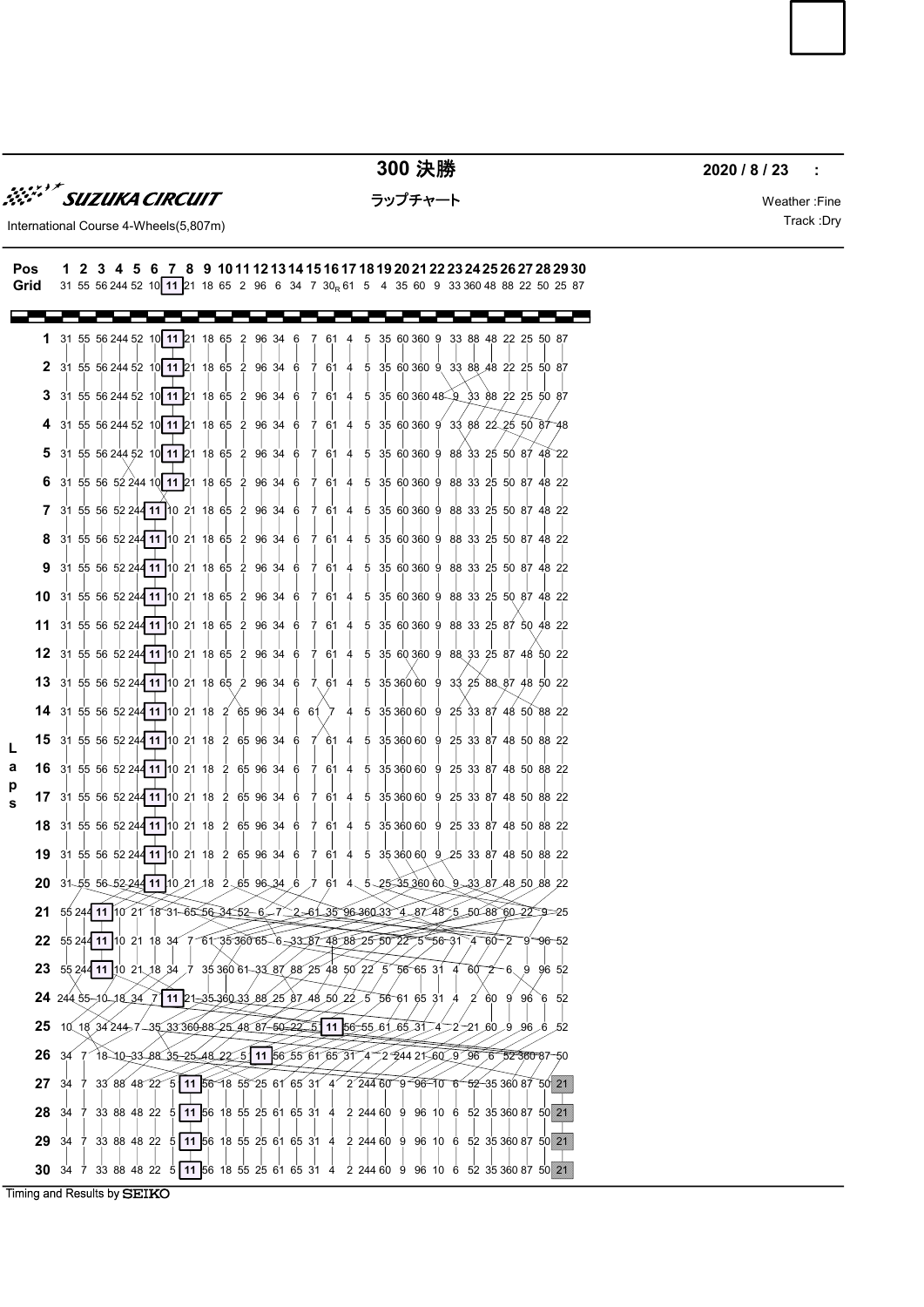

300 決勝 2020 / 8 / 23

ラップチャート Weather :Fine

International Course 4-Wheels(5,807m) and the control of the control of the control of the control of the control of the control of the control of the control of the control of the control of the control of the control of

## **EXECUTE ACTIVE ACTIVE ACTIVE ACTIVE ACTIVE ACTIVE ACTIVE ACTIVE ACTIVE ACTIVE ACTIVE ACTIVE ACTIVE ACTIVE ACTIVE ACTIVE ACTIVE ACTIVE ACTIVE ACTIVE ACTIVE ACTIVE ACTIVE ACTIVE ACTIVE ACTIVE ACTIVE ACTIVE ACTIVE ACTIVE A 300 決勝**<br> **300 決勝**<br> **2020/8/23**<br> **2020/8/23**<br> **2020/8/23**<br> **2020/8/23**<br> **2020/8/23**<br> **2020/8/23**<br> **2020/8/23**<br> **2020/8/23**<br> **2**<br> **12.3 4.5 6 7.8 9 101112131415161718192021222324252627282930<br>
<b>31.65 60 244 82** 10 11 21 18 Grid 31 55 56 244 52 10 11 21 18 65 2 96 6 34 7 30<sub>R</sub> 61 5 4 35 60 9 33 360 48 88 22 50 25 87 1 31 55 56 244 52 10 11 21 18 65 2 96 34 6 7 61 4 5 35 60 360 9 33 8 18 65 2 96 34 6 7 61 4 5 35 60 360 9 33 88 48 22 25 50 87 50 87 **2** 31 55 56 244 52 10 11 21 18 65 2 96 34 6 7 61 4 5 35 60 360 9 33 88 *4* 65 2 96 34 6 7 61 4 5 35 60 360 9 33 88 48 22 25 50 87 50 87 3 31 55 56 244 52 10 11 21 18 65 2 96 34 6 7 61 4 5 35 60 360 48 9 3 18 65 2 96 34 6 7 61 4 5 35 60 360 48 9 33 88 22 25 50 87 87 and the state of the state of the state of the state of the state of the state of the state of the state of 4 31 55 56 244 52 10 11 21 18 65 2 96 34 6 7 61 4 5 35 60 360 9 33 88 22 25 50 87 48 48 5 31 55 56 244 52 10 11 21 18 65 2 96 34 6 7 61 4 5 35 60 360 9 88 3 18 65 2 96 34 6 7 61 4 5 35 60 360 9 88 33 25 50 87 48 22 48 22 and 22 and 22 and 23 and 24 and 25 and 26 and 26 and 26 and 26 and 26 and 26 and 26 and 26 and 26 and 26 22 6 31 55 56 52 244 10 11 21 18 65 2 96 34 6 7 61 4 5 35 60 360 9 88 33 2 65 2 96 34 6 7 61 4 5 35 60 360 9 88 33 25 50 87 48 22 22 **7** 31 55 56 52 24**4 11 |**10 21 18 65 2 96 34 6 7 61 4 5 35 60 360 9 88 33 25 50 87 48 22 48 22 and 22 and 22 and 22 and 22 and 22 and 22 and 22 and 22 and 22 and 22 and 22 and 22 and 22 and 22 and 22 22 8 31 55 56 52 244 11 10 21 18 65 2 96 34 6 7 61 4 5 35 60 360 9 88 3 18 65 2 96 34 6 7 61 4 5 35 60 360 9 88 33 25 50 87 48 22 48 22 and 22 and 22 and 22 and 22 and 22 and 22 and 22 and 22 and 22 and 22 and 22 and 22 and 22 and 22 and 22 22 9 31 55 56 52 244 11 10 21 18 65 2 96 34 6 7 61 4 5 35 60 360 9 88 33 25 50 87 48 22 22 10 31 55 56 52 244 11 10 21 18 65 2 96 34 6 7 61 4 5 35 60 360 9 88 33 25 5 2 96 34 6 7 61 4 5 35 60 360 9 88 33 25 50 87 48 22 48 22 and 22 and 22 and 22 and 22 and 22 and 22 and 22 and 22 and 22 and 22 and 22 and 22 and 22 and 22 and 22 22 11 31 55 56 52 244 11 10 21 18 65 2 96 34 6 7 61 4 5 35 60 360 9 88 33 25 8 2 96 34 6 7 61 4 5 35 60 360 9 88 33 25 87 50 48 22 48 22 and 23 and 24 and 25 and 26 and 26 and 26 and 26 and 26 and 26 and 26 and 26 and 26 and 26 and 26 and 26 22 12 31 55 56 52 244 11 10 21 18 65 2 96 34 6 7 61 4 5 35 60 360 9 88 33 25 87 48 50 22 22 13 31 55 56 52 244 11 10 21 18 65 2 96 34 6 7 61 4 5 35 360 60 9 33 25 88 87 48 50 22 22 **14** 31 55 56 52 244 11 10 21 18 2 65 96 34 6 61 7 4 5 35 360 60 9 25 33 87 65 96 34 6 61 7 4 5 35 360 60 9 25 33 87 48 50 88 22 88 22 and 20 and 20 and 20 and 20 and 20 and 20 and 20 and 20 and 20 and 20 and 20 and 20 and 20 and 20 and 20 22 31 55 56 244 52 10 11 21 18 15 L 2 65 96 34 6 7 61 4 5 35 360 60 9 25 33 87 48 50 88 22 22 **a 16** 31 55 56 52 244 11 10 21 18 2 65 96 34 6 7 61 4 5 35 360 60 9 25 3 18 2 65 96 34 6 7 61 4 5 35 360 60 9 25 33 87 48 50 88 22 22 p | | | | | | | | | | | | | | | | | 117 31 55 56 52 244 11 10 21 18 2 65 96 34 6 7 61 4 5 35 360 60 9 25 33 8 2 65 96 34 6 7 61 4 5 35 360 60 9 25 33 87 48 50 88 22 22 s18 31 55 56 52 24**4 11 1**0 21 18 2 65 96 34 6 7 61 4 5 35 360 60 9 25 33 87 48 50 88 22 88 22 and 20 and 20 and 20 and 20 and 20 and 20 and 20 and 20 and 20 and 20 and 20 and 20 and 20 and 20 and 20 22 19 31 55 56 52 24**4 11 10 21 18 2 65 96 34 6 7 61 4 5 35** 360 60 9 25 33 87 48 50 88 22 22 20 31-55 56-52244 11 10 21 18 2 65 96 34 6 7 61 4 5 25 35 360 60 9 33 87 48 50 88 22 22 21 55 244 11 10 21 15 31 65 56 34 52 - 6 - 7 2 - 61 35 96 360 33 4 - 87 48 5 - 50 - 88 60 -22 - 9 - 25  $9 - 25$ 25 22 55 24 11 10 21 18 34 7 61 35 360 65 6 33 87 48 88 25 50 22 5 56 31 4 60 2 9 96 52  $31\overline{)4}$  60  $\overline{)2}$  9  $\overline{)96}$  52  $460 - 29 - 96 - 52$  $60 - 2 - 9 - 96 - 52$  $2^{\circ}9^{\circ}96^{\circ}52$  $9 - 96 - 52$ 96 52 and 20 and 20 and 20 and 20 and 20 and 20 and 20 and 20 and 20 and 20 and 20 and 20 and 20 and 20 and 20 52 23  $5524411$  [10 21 18 34 7 35 360 61 32 36 7 88 25 48 50 22 5 56 65 31 4 60 2 6 9 96 52  $60\text{ }2\text{ }6\text{ }9\text{ }96\text{ }52$ 96 52 and 2012 and 2013 and 2014 and 2014 and 2014 and 2014 and 2014 and 2014 and 2014 and 2014 and 2014 and 20 52 24 24 35 16 18 34 7 11 21 35 360 33 88 25 87 48 56 22 5 56 61 65 31 4 2 60 9 96 6 52  $6\quad 52$ 52 25  $10(18,34,244,7-35,33,366,88-25,48,87-69-22,55$  11  $56-55,61,65,37-4-2-21,60,9,96,6,52$ 6  $52$ 52 26 34 7 18 10 33 83 5 25 48 22 5 11 56 55 61 65 31 4 2 244 21 60 9 96 6 52 360 87 -50 50 27  $34$  7  $33$  88  $48$  22  $25$  11 56 18 55 25 61 65 31 4 2 244 60 9 96 10 6 52 35 360 87 50 21 21 **28** 34 7 33 88 48 22 5 **11 5**6 18 55 25 61 65 31 4 2 244 60 9 96 10 6 5 56 18 55 25 61 65 31 4 2 244 60 9 96 10 6 52 35 360 87 50 21 21 **29** 34 7 33 88 48 22 5 **11 5**6 18 55 25 61 65 31 4 2 244 60 9 96 10 6 52 35 360 87 50 21 21 30 34 7 33 88 48 22 5 11 56 18 55 25 61 65 31 4 2 244 60 9 96 10 6 52 35 360 87 50 21 21 Timing and Results by SEIKO